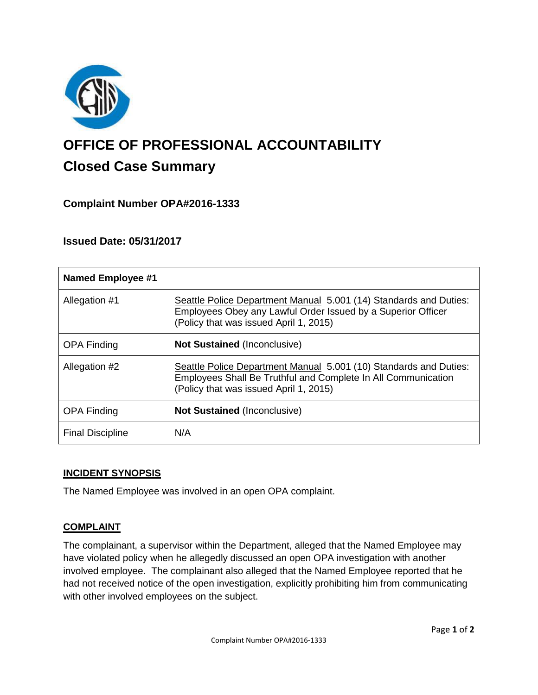

# **OFFICE OF PROFESSIONAL ACCOUNTABILITY Closed Case Summary**

## **Complaint Number OPA#2016-1333**

## **Issued Date: 05/31/2017**

| <b>Named Employee #1</b> |                                                                                                                                                                              |
|--------------------------|------------------------------------------------------------------------------------------------------------------------------------------------------------------------------|
| Allegation #1            | Seattle Police Department Manual 5.001 (14) Standards and Duties:<br>Employees Obey any Lawful Order Issued by a Superior Officer<br>(Policy that was issued April 1, 2015)  |
| <b>OPA Finding</b>       | <b>Not Sustained (Inconclusive)</b>                                                                                                                                          |
| Allegation #2            | Seattle Police Department Manual 5.001 (10) Standards and Duties:<br>Employees Shall Be Truthful and Complete In All Communication<br>(Policy that was issued April 1, 2015) |
| <b>OPA Finding</b>       | <b>Not Sustained (Inconclusive)</b>                                                                                                                                          |
| <b>Final Discipline</b>  | N/A                                                                                                                                                                          |

## **INCIDENT SYNOPSIS**

The Named Employee was involved in an open OPA complaint.

## **COMPLAINT**

The complainant, a supervisor within the Department, alleged that the Named Employee may have violated policy when he allegedly discussed an open OPA investigation with another involved employee. The complainant also alleged that the Named Employee reported that he had not received notice of the open investigation, explicitly prohibiting him from communicating with other involved employees on the subject.